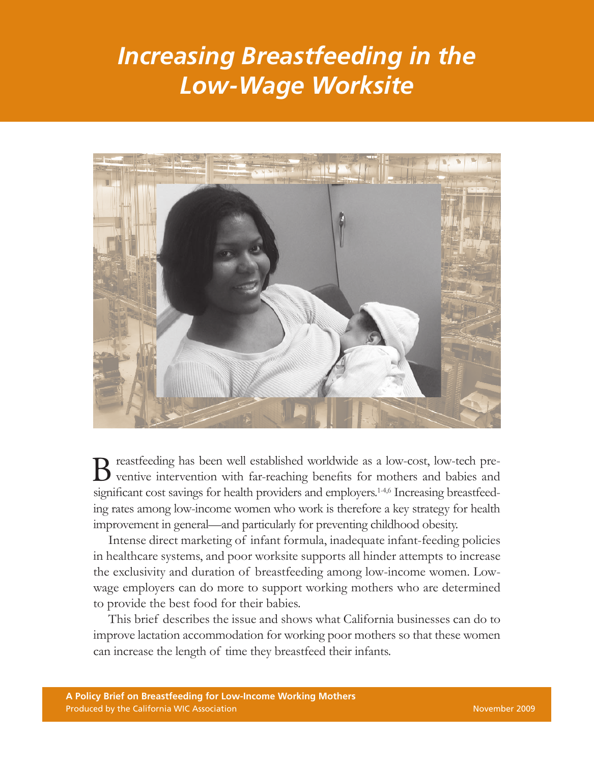# *Increasing Breastfeeding in the Low-Wage Worksite*



B reastfeeding has been well established worldwide as a low-cost, low-tech pre-<br>ventive intervention with far-reaching benefits for mothers and babies and ventive intervention with far-reaching benefits for mothers and babies and significant cost savings for health providers and employers.<sup>1-4,6</sup> Increasing breastfeeding rates among low-income women who work is therefore a key strategy for health improvement in general—and particularly for preventing childhood obesity.

Intense direct marketing of infant formula, inadequate infant-feeding policies in healthcare systems, and poor worksite supports all hinder attempts to increase the exclusivity and duration of breastfeeding among low-income women. Lowwage employers can do more to support working mothers who are determined to provide the best food for their babies.

This brief describes the issue and shows what California businesses can do to improve lactation accommodation for working poor mothers so that these women can increase the length of time they breastfeed their infants.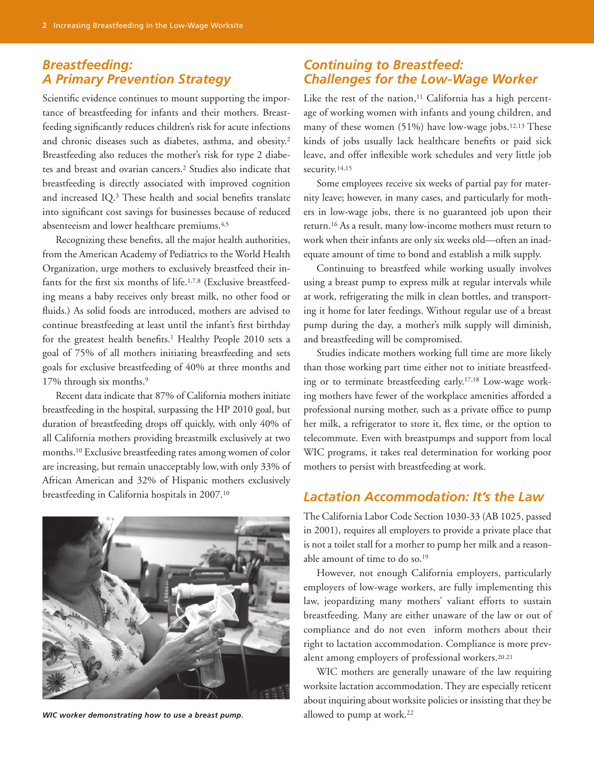### *Breastfeeding: A Primary Prevention Strategy*

Scientific evidence continues to mount supporting the importance of breastfeeding for infants and their mothers. Breastfeeding significantly reduces children's risk for acute infections and chronic diseases such as diabetes, asthma, and obesity.2 Breastfeeding also reduces the mother's risk for type 2 diabetes and breast and ovarian cancers.2 Studies also indicate that breastfeeding is directly associated with improved cognition and increased IQ.3 These health and social benefits translate into significant cost savings for businesses because of reduced absenteeism and lower healthcare premiums.4,5

Recognizing these benefits, all the major health authorities, from the American Academy of Pediatrics to the World Health Organization, urge mothers to exclusively breastfeed their infants for the first six months of life.<sup>1,7,8</sup> (Exclusive breastfeeding means a baby receives only breast milk, no other food or fluids.) As solid foods are introduced, mothers are advised to continue breastfeeding at least until the infant's first birthday for the greatest health benefits.<sup>1</sup> Healthy People 2010 sets a goal of 75% of all mothers initiating breastfeeding and sets goals for exclusive breastfeeding of 40% at three months and 17% through six months.9

Recent data indicate that 87% of California mothers initiate breastfeeding in the hospital, surpassing the HP 2010 goal, but duration of breastfeeding drops off quickly, with only 40% of all California mothers providing breastmilk exclusively at two months.10 Exclusive breastfeeding rates among women of color are increasing, but remain unacceptably low,with only 33% of African American and 32% of Hispanic mothers exclusively breastfeeding in California hospitals in 2007.10



WIC worker demonstrating how to use a breast pump. **Example 1** allowed to pump at work.<sup>22</sup>

## *Continuing to Breastfeed: Challenges for the Low-Wage Worker*

Like the rest of the nation, $11$  California has a high percentage of working women with infants and young children, and many of these women (51%) have low-wage jobs.12,13 These kinds of jobs usually lack healthcare benefits or paid sick leave, and offer inflexible work schedules and very little job security.<sup>14,15</sup>

Some employees receive six weeks of partial pay for maternity leave; however, in many cases, and particularly for mothers in low-wage jobs, there is no guaranteed job upon their return.16 As a result, many low-income mothers must return to work when their infants are only six weeks old—often an inadequate amount of time to bond and establish a milk supply.

Continuing to breastfeed while working usually involves using a breast pump to express milk at regular intervals while at work, refrigerating the milk in clean bottles, and transporting it home for later feedings. Without regular use of a breast pump during the day, a mother's milk supply will diminish, and breastfeeding will be compromised.

Studies indicate mothers working full time are more likely than those working part time either not to initiate breastfeeding or to terminate breastfeeding early.17,18 Low-wage working mothers have fewer of the workplace amenities afforded a professional nursing mother, such as a private office to pump her milk, a refrigerator to store it, flex time, or the option to telecommute. Even with breastpumps and support from local WIC programs, it takes real determination for working poor mothers to persist with breastfeeding at work.

## *Lactation Accommodation: It's the Law*

The California Labor Code Section 1030-33 (AB 1025, passed in 2001), requires all employers to provide a private place that is not a toilet stall for a mother to pump her milk and a reasonable amount of time to do so.19

However, not enough California employers, particularly employers of low-wage workers, are fully implementing this law, jeopardizing many mothers' valiant efforts to sustain breastfeeding. Many are either unaware of the law or out of compliance and do not even inform mothers about their right to lactation accommodation. Compliance is more prevalent among employers of professional workers.20.21

WIC mothers are generally unaware of the law requiring worksite lactation accommodation. They are especially reticent about inquiring about worksite policies or insisting that they be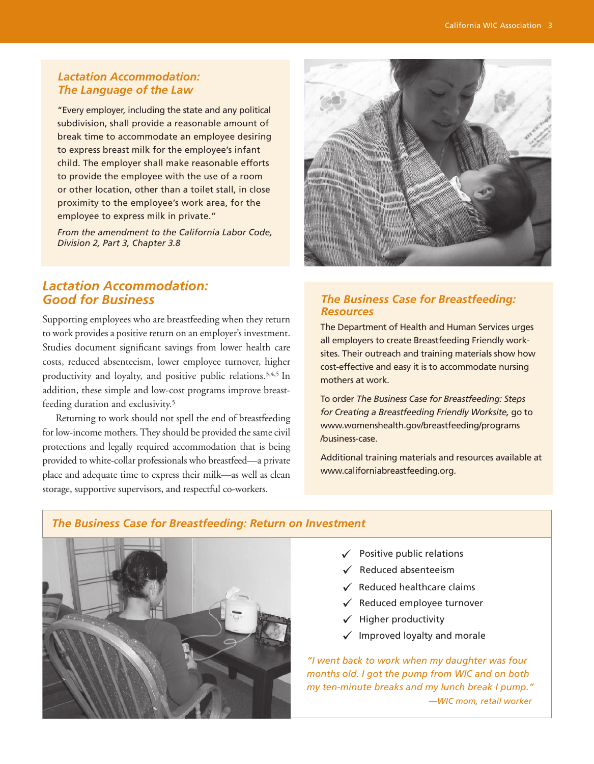#### *Lactation Accommodation: The Language of the Law*

"Every employer, including the state and any political subdivision, shall provide a reasonable amount of break time to accommodate an employee desiring to express breast milk for the employee's infant child. The employer shall make reasonable efforts to provide the employee with the use of a room or other location, other than a toilet stall, in close proximity to the employee's work area, for the employee to express milk in private."

*From the amendment to the California Labor Code, Division 2, Part 3, Chapter 3.8*

## *Lactation Accommodation: Good for Business*

Supporting employees who are breastfeeding when they return to work provides a positive return on an employer's investment. Studies document significant savings from lower health care costs, reduced absenteeism, lower employee turnover, higher productivity and loyalty, and positive public relations.3,4,5 In addition, these simple and low-cost programs improve breastfeeding duration and exclusivity.5

Returning to work should not spell the end of breastfeeding for low-income mothers. They should be provided the same civil protections and legally required accommodation that is being provided to white-collar professionals who breastfeed—a private place and adequate time to express their milk—as well as clean storage, supportive supervisors, and respectful co-workers.

#### *The Business Case for Breastfeeding: Resources*

The Department of Health and Human Services urges all employers to create Breastfeeding Friendly worksites. Their outreach and training materials show how cost-effective and easy it is to accommodate nursing mothers at work.

To order *The Business Case for Breastfeeding: Steps for Creating a Breastfeeding Friendly Worksite,* go to www.womenshealth.gov/breastfeeding/programs /business-case.

Additional training materials and resources available at www.californiabreastfeeding.org.

#### *The Business Case for Breastfeeding: Return on Investment*



- $\checkmark$  Positive public relations
- $\checkmark$  Reduced absenteeism
- $\checkmark$  Reduced healthcare claims
- $\checkmark$  Reduced employee turnover
- $\checkmark$  Higher productivity
- $\checkmark$  Improved loyalty and morale

*"I went back to work when my daughter was four months old. I got the pump from WIC and on both my ten-minute breaks and my lunch break I pump." —WIC mom, retail worker*